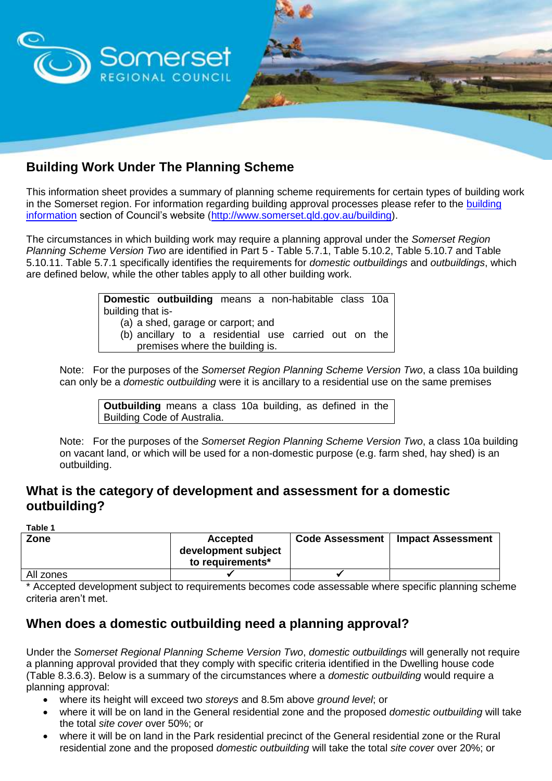

# **Building Work Under The Planning Scheme**

This information sheet provides a summary of planning scheme requirements for certain types of building work in the Somerset region. For information regarding [building](http://www.somerset.qld.gov.au/building) approval processes please refer to the building [information](http://www.somerset.qld.gov.au/building) section of Council's website [\(http://www.somerset.qld.gov.au/building\)](http://www.somerset.qld.gov.au/building).

The circumstances in which building work may require a planning approval under the *Somerset Region Planning Scheme Version Two* are identified in Part 5 - Table 5.7.1, Table 5.10.2, Table 5.10.7 and Table 5.10.11. Table 5.7.1 specifically identifies the requirements for *domestic outbuildings* and *outbuildings*, which are defined below, while the other tables apply to all other building work.

> **Domestic outbuilding** means a non-habitable class 10a building that is- (a) a shed, garage or carport; and (b) ancillary to a residential use carried out on the premises where the building is.

Note: For the purposes of the *Somerset Region Planning Scheme Version Two*, a class 10a building can only be a *domestic outbuilding* were it is ancillary to a residential use on the same premises

**Outbuilding** means a class 10a building, as defined in the Building Code of Australia.

Note: For the purposes of the *Somerset Region Planning Scheme Version Two*, a class 10a building on vacant land, or which will be used for a non-domestic purpose (e.g. farm shed, hay shed) is an outbuilding.

#### **What is the category of development and assessment for a domestic outbuilding?**

**Table 1**

| Zone      | <b>Accepted</b><br>development subject<br>to requirements* | <b>Code Assessment</b> | <b>Impact Assessment</b> |
|-----------|------------------------------------------------------------|------------------------|--------------------------|
| All zones |                                                            |                        |                          |

Accepted development subject to requirements becomes code assessable where specific planning scheme criteria aren't met.

### **When does a domestic outbuilding need a planning approval?**

Under the *Somerset Regional Planning Scheme Version Two*, *domestic outbuildings* will generally not require a planning approval provided that they comply with specific criteria identified in the Dwelling house code (Table 8.3.6.3). Below is a summary of the circumstances where a *domestic outbuilding* would require a planning approval:

- where its height will exceed two *storeys* and 8.5m above *ground level*; or
- where it will be on land in the General residential zone and the proposed *domestic outbuilding* will take the total *site cover* over 50%; or
- where it will be on land in the Park residential precinct of the General residential zone or the Rural residential zone and the proposed *domestic outbuilding* will take the total *site cover* over 20%; or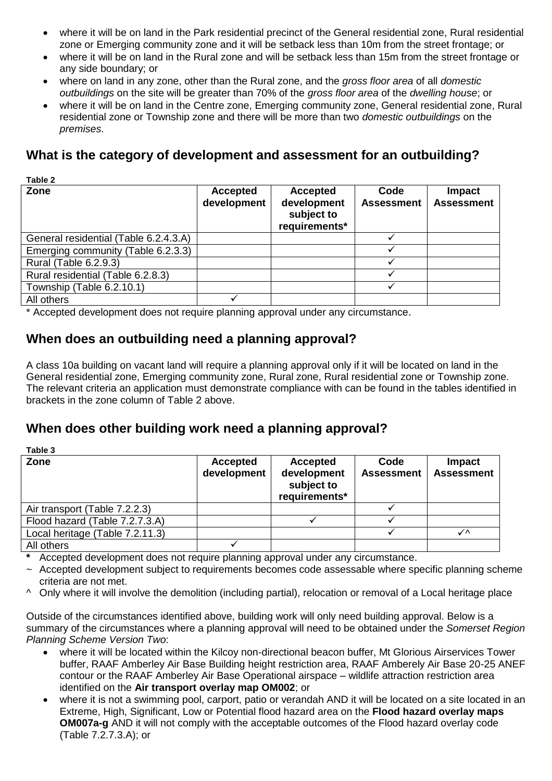- where it will be on land in the Park residential precinct of the General residential zone, Rural residential zone or Emerging community zone and it will be setback less than 10m from the street frontage; or
- where it will be on land in the Rural zone and will be setback less than 15m from the street frontage or any side boundary; or
- where on land in any zone, other than the Rural zone, and the *gross floor area* of all *domestic outbuildings* on the site will be greater than 70% of the *gross floor area* of the *dwelling house*; or
- where it will be on land in the Centre zone, Emerging community zone, General residential zone, Rural residential zone or Township zone and there will be more than two *domestic outbuildings* on the *premises*.

### **What is the category of development and assessment for an outbuilding?**

| Table 2                               |                         |                                                               |                           |                                    |
|---------------------------------------|-------------------------|---------------------------------------------------------------|---------------------------|------------------------------------|
| Zone                                  | Accepted<br>development | <b>Accepted</b><br>development<br>subject to<br>requirements* | Code<br><b>Assessment</b> | <b>Impact</b><br><b>Assessment</b> |
| General residential (Table 6.2.4.3.A) |                         |                                                               |                           |                                    |
| Emerging community (Table 6.2.3.3)    |                         |                                                               |                           |                                    |
| Rural (Table 6.2.9.3)                 |                         |                                                               |                           |                                    |
| Rural residential (Table 6.2.8.3)     |                         |                                                               |                           |                                    |
| Township (Table 6.2.10.1)             |                         |                                                               |                           |                                    |
| All others                            |                         |                                                               |                           |                                    |

\* Accepted development does not require planning approval under any circumstance.

## **When does an outbuilding need a planning approval?**

A class 10a building on vacant land will require a planning approval only if it will be located on land in the General residential zone, Emerging community zone, Rural zone, Rural residential zone or Township zone. The relevant criteria an application must demonstrate compliance with can be found in the tables identified in brackets in the zone column of Table 2 above.

### **When does other building work need a planning approval?**

| Table 3                         |                                |                                                               |                           |                             |
|---------------------------------|--------------------------------|---------------------------------------------------------------|---------------------------|-----------------------------|
| Zone                            | <b>Accepted</b><br>development | <b>Accepted</b><br>development<br>subject to<br>requirements* | Code<br><b>Assessment</b> | Impact<br><b>Assessment</b> |
| Air transport (Table 7.2.2.3)   |                                |                                                               |                           |                             |
| Flood hazard (Table 7.2.7.3.A)  |                                |                                                               |                           |                             |
| Local heritage (Table 7.2.11.3) |                                |                                                               |                           | ✓∧                          |
| All others                      |                                |                                                               |                           |                             |

**\*** Accepted development does not require planning approval under any circumstance.

- ~ Accepted development subject to requirements becomes code assessable where specific planning scheme criteria are not met.
- ^ Only where it will involve the demolition (including partial), relocation or removal of a Local heritage place

Outside of the circumstances identified above, building work will only need building approval. Below is a summary of the circumstances where a planning approval will need to be obtained under the *Somerset Region Planning Scheme Version Two*:

- where it will be located within the Kilcoy non-directional beacon buffer, Mt Glorious Airservices Tower buffer, RAAF Amberley Air Base Building height restriction area, RAAF Amberely Air Base 20-25 ANEF contour or the RAAF Amberley Air Base Operational airspace – wildlife attraction restriction area identified on the **Air transport overlay map OM002**; or
- where it is not a swimming pool, carport, patio or verandah AND it will be located on a site located in an Extreme, High, Significant, Low or Potential flood hazard area on the **Flood hazard overlay maps OM007a-g** AND it will not comply with the acceptable outcomes of the Flood hazard overlay code (Table 7.2.7.3.A); or